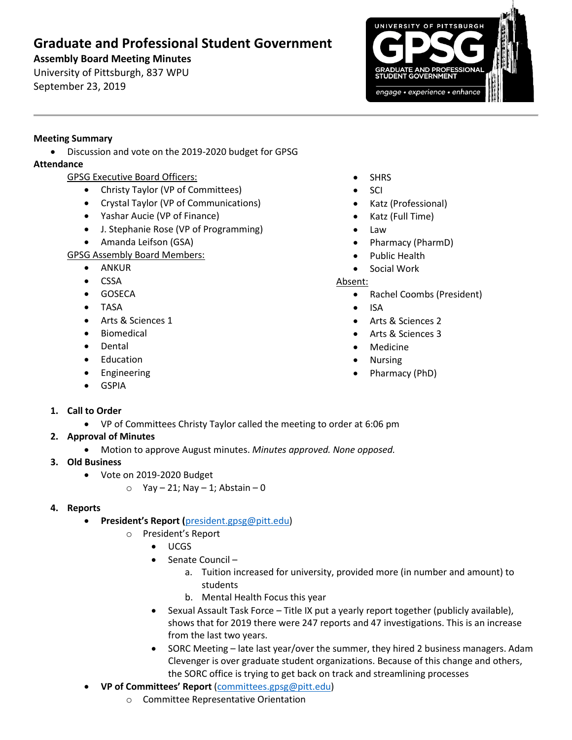# **Graduate and Professional Student Government**

**Assembly Board Meeting Minutes** University of Pittsburgh, 837 WPU

September 23, 2019



## **Meeting Summary**

• Discussion and vote on the 2019-2020 budget for GPSG

# **Attendance**

- GPSG Executive Board Officers:
	- Christy Taylor (VP of Committees)
	- Crystal Taylor (VP of Communications)
	- Yashar Aucie (VP of Finance)
	- J. Stephanie Rose (VP of Programming)
	- Amanda Leifson (GSA)
- GPSG Assembly Board Members:
	- ANKUR
	- CSSA
	- GOSECA
	- TASA
	- Arts & Sciences 1
	- **Biomedical**
	- Dental
	- Education
	- Engineering
	- GSPIA
- **SHRS**
- SCI
- Katz (Professional)
- Katz (Full Time)
- Law
- Pharmacy (PharmD)
- Public Health
- Social Work

#### Absent:

- Rachel Coombs (President)
- ISA
- Arts & Sciences 2
- Arts & Sciences 3
- Medicine
- Nursing
- Pharmacy (PhD)

- **1. Call to Order**
	- VP of Committees Christy Taylor called the meeting to order at 6:06 pm
- **2. Approval of Minutes** 
	- Motion to approve August minutes. *Minutes approved. None opposed.*
- **3. Old Business**
	- Vote on 2019-2020 Budget
		- $\circ$  Yay 21; Nay 1; Abstain 0

## **4. Reports**

- **President's Report (**[president.gpsg@pitt.edu\)](mailto:president.gpsg@pitt.edu)
	- o President's Report
		- UCGS
		- Senate Council
			- a. Tuition increased for university, provided more (in number and amount) to students
			- b. Mental Health Focus this year
		- Sexual Assault Task Force Title IX put a yearly report together (publicly available), shows that for 2019 there were 247 reports and 47 investigations. This is an increase from the last two years.
		- SORC Meeting late last year/over the summer, they hired 2 business managers. Adam Clevenger is over graduate student organizations. Because of this change and others, the SORC office is trying to get back on track and streamlining processes
- **VP of Committees' Report** [\(committees.gpsg@pitt.edu\)](mailto:committees.gpsg@pitt.edu)
	- o Committee Representative Orientation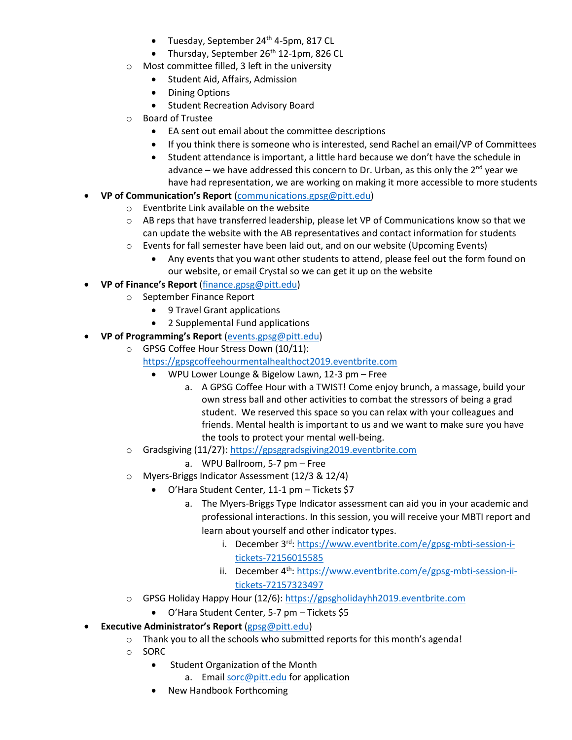- Tuesday, September 24<sup>th</sup> 4-5pm, 817 CL
- Thursday, September  $26<sup>th</sup>$  12-1pm, 826 CL
- o Most committee filled, 3 left in the university
	- Student Aid, Affairs, Admission
	- Dining Options
	- Student Recreation Advisory Board
- **Board of Trustee** 
	- EA sent out email about the committee descriptions
	- If you think there is someone who is interested, send Rachel an email/VP of Committees
	- Student attendance is important, a little hard because we don't have the schedule in advance – we have addressed this concern to Dr. Urban, as this only the  $2<sup>nd</sup>$  year we have had representation, we are working on making it more accessible to more students
- **VP of Communication's Report** [\(communications.gpsg@pitt.edu\)](mailto:communications.gpsg@pitt.edu)
	- o Eventbrite Link available on the website
	- o AB reps that have transferred leadership, please let VP of Communications know so that we can update the website with the AB representatives and contact information for students
	- o Events for fall semester have been laid out, and on our website (Upcoming Events)
		- Any events that you want other students to attend, please feel out the form found on our website, or email Crystal so we can get it up on the website
- **VP of Finance's Report** [\(finance.gpsg@pitt.edu\)](mailto:finance.gpsg@pitt.edu)
	- o September Finance Report
		- 9 Travel Grant applications
		- 2 Supplemental Fund applications
- **VP of Programming's Report** [\(events.gpsg@pitt.edu\)](mailto:events.gpsg@pitt.edu)
	- o GPSG Coffee Hour Stress Down (10/11):

[https://gpsgcoffeehourmentalhealthoct2019.eventbrite.com](https://nam05.safelinks.protection.outlook.com/?url=https%3A%2F%2Fgpsgcoffeehourmentalhealthoct2019.eventbrite.com&data=02%7C01%7Cgpsg%40pitt.edu%7C81e0b95f1bb846be060908d73a195dd1%7C9ef9f489e0a04eeb87cc3a526112fd0d%7C1%7C0%7C637041752932609556&sdata=v346raK3S7fbuH0b4ndnngSve075oSnFR%2FZJTy%2FtR1Q%3D&reserved=0)

- WPU Lower Lounge & Bigelow Lawn, 12-3 pm Free
	- a. A GPSG Coffee Hour with a TWIST! Come enjoy brunch, a massage, build your own stress ball and other activities to combat the stressors of being a grad student. We reserved this space so you can relax with your colleagues and friends. Mental health is important to us and we want to make sure you have the tools to protect your mental well-being.
- o Gradsgiving (11/27)[: https://gpsggradsgiving2019.eventbrite.com](https://gpsggradsgiving2019.eventbrite.com/)
	- a. WPU Ballroom, 5-7 pm Free
- o Myers-Briggs Indicator Assessment (12/3 & 12/4)
	- O'Hara Student Center, 11-1 pm Tickets \$7
		- a. The Myers-Briggs Type Indicator assessment can aid you in your academic and professional interactions. In this session, you will receive your MBTI report and learn about yourself and other indicator types.
			- i. December 3<sup>rd</sup>: [https://www.eventbrite.com/e/gpsg-mbti-session-i](https://www.eventbrite.com/e/gpsg-mbti-session-i-tickets-72156015585)[tickets-72156015585](https://www.eventbrite.com/e/gpsg-mbti-session-i-tickets-72156015585)
			- ii. December  $4<sup>th</sup>$ : [https://www.eventbrite.com/e/gpsg-mbti-session-ii](https://www.eventbrite.com/e/gpsg-mbti-session-ii-tickets-72157323497)[tickets-72157323497](https://www.eventbrite.com/e/gpsg-mbti-session-ii-tickets-72157323497)
- o GPSG Holiday Happy Hour (12/6): [https://gpsgholidayhh2019.eventbrite.com](https://nam05.safelinks.protection.outlook.com/?url=https%3A%2F%2Fgpsgholidayhh2019.eventbrite.com&data=02%7C01%7Cgpsg%40pitt.edu%7C81e0b95f1bb846be060908d73a195dd1%7C9ef9f489e0a04eeb87cc3a526112fd0d%7C1%7C0%7C637041752932659528&sdata=PWm0cicmTZYvrDPEOCtYwj1gR%2B9OCmckaYJGSyvYYhI%3D&reserved=0)
	- O'Hara Student Center, 5-7 pm Tickets \$5
- **Executive Administrator's Report** [\(gpsg@pitt.edu\)](mailto:gpsg@pitt.edu)
	- o Thank you to all the schools who submitted reports for this month's agenda!
	- o SORC
		- Student Organization of the Month
			- a. Email [sorc@pitt.edu](mailto:sorc@pitt.edu) for application
		- New Handbook Forthcoming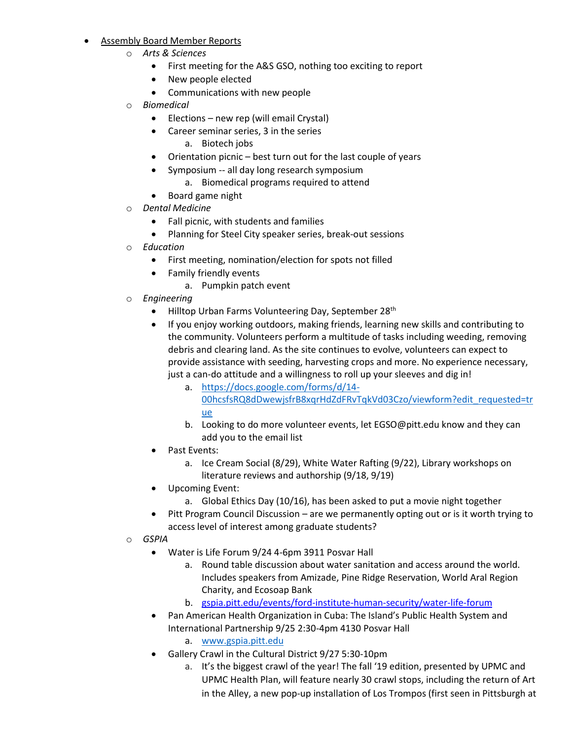- **Assembly Board Member Reports** 
	- o *Arts & Sciences*
		- First meeting for the A&S GSO, nothing too exciting to report
		- New people elected
		- Communications with new people
	- **Biomedical** 
		- Elections new rep (will email Crystal)
		- Career seminar series, 3 in the series
			- a. Biotech jobs
		- Orientation picnic best turn out for the last couple of years
		- Symposium -- all day long research symposium
			- a. Biomedical programs required to attend
		- Board game night
	- o *Dental Medicine*
		- Fall picnic, with students and families
		- Planning for Steel City speaker series, break-out sessions
	- o *Education*
		- First meeting, nomination/election for spots not filled
		- Family friendly events
			- a. Pumpkin patch event
	- o *Engineering*
		- Hilltop Urban Farms Volunteering Day, September 28<sup>th</sup>
		- If you enjoy working outdoors, making friends, learning new skills and contributing to the community. Volunteers perform a multitude of tasks including weeding, removing debris and clearing land. As the site continues to evolve, volunteers can expect to provide assistance with seeding, harvesting crops and more. No experience necessary, just a can-do attitude and a willingness to roll up your sleeves and dig in!
			- a. [https://docs.google.com/forms/d/14-](https://docs.google.com/forms/d/14-00hcsfsRQ8dDwewjsfrB8xqrHdZdFRvTqkVd03Czo/viewform?edit_requested=true) [00hcsfsRQ8dDwewjsfrB8xqrHdZdFRvTqkVd03Czo/viewform?edit\\_requested=tr](https://docs.google.com/forms/d/14-00hcsfsRQ8dDwewjsfrB8xqrHdZdFRvTqkVd03Czo/viewform?edit_requested=true) [ue](https://docs.google.com/forms/d/14-00hcsfsRQ8dDwewjsfrB8xqrHdZdFRvTqkVd03Czo/viewform?edit_requested=true)
			- b. Looking to do more volunteer events, let EGSO@pitt.edu know and they can add you to the email list
		- Past Events:
			- a. Ice Cream Social (8/29), White Water Rafting (9/22), Library workshops on literature reviews and authorship (9/18, 9/19)
		- Upcoming Event:
			- a. Global Ethics Day (10/16), has been asked to put a movie night together
		- Pitt Program Council Discussion are we permanently opting out or is it worth trying to access level of interest among graduate students?
	- o *GSPIA*
		- Water is Life Forum 9/24 4-6pm 3911 Posvar Hall
			- a. Round table discussion about water sanitation and access around the world. Includes speakers from Amizade, Pine Ridge Reservation, World Aral Region Charity, and Ecosoap Bank
			- b. [gspia.pitt.edu/events/ford-institute-human-security/water-life-forum](https://gspia.pitt.edu/events/ford-institute-human-security/water-life-forum)
		- Pan American Health Organization in Cuba: The Island's Public Health System and International Partnership 9/25 2:30-4pm 4130 Posvar Hall
			- a. [www.gspia.pitt.edu](http://www.gspia.pitt.edu/)
		- Gallery Crawl in the Cultural District 9/27 5:30-10pm
			- a. It's the biggest crawl of the year! The fall '19 edition, presented by UPMC and UPMC Health Plan, will feature nearly 30 crawl stops, including the return of Art in the Alley, a new pop-up installation of Los Trompos (first seen in Pittsburgh at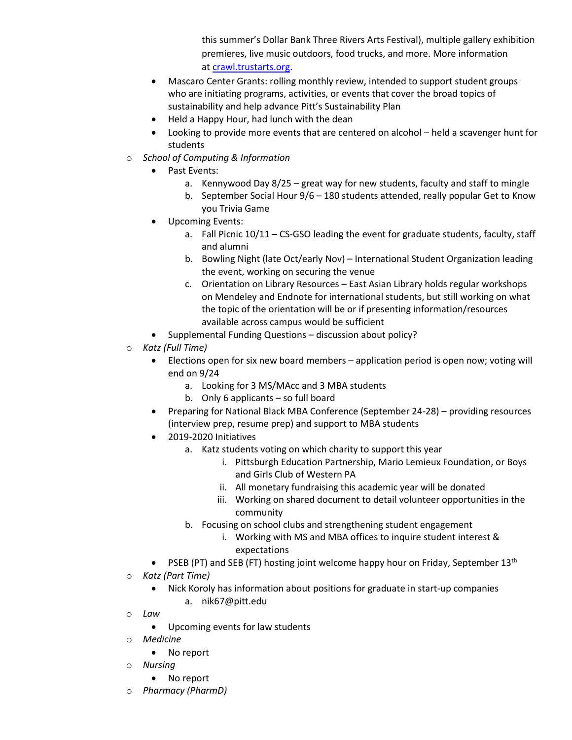this summer's Dollar Bank Three Rivers Arts Festival), multiple gallery exhibition premieres, live music outdoors, food trucks, and more. More information at [crawl.trustarts.org.](https://nam05.safelinks.protection.outlook.com/?url=https%3A%2F%2Fcrawl.trustarts.org%2F&data=02%7C01%7CJEG152%40pitt.edu%7C5cc94f455b184d98b6a608d739280343%7C9ef9f489e0a04eeb87cc3a526112fd0d%7C1%7C0%7C637040716331934996&sdata=7oBm8BxGAGBuvjsF%2BDlaSIFLPqXKx920SMYwXxO6Woo%3D&reserved=0)

- Mascaro Center Grants: rolling monthly review, intended to support student groups who are initiating programs, activities, or events that cover the broad topics of sustainability and help advance Pitt's Sustainability Plan
- Held a Happy Hour, had lunch with the dean
- Looking to provide more events that are centered on alcohol held a scavenger hunt for students
- o *School of Computing & Information*
	- Past Events:
		- a. Kennywood Day 8/25 great way for new students, faculty and staff to mingle
		- b. September Social Hour 9/6 180 students attended, really popular Get to Know you Trivia Game
	- Upcoming Events:
		- a. Fall Picnic 10/11 CS-GSO leading the event for graduate students, faculty, staff and alumni
		- b. Bowling Night (late Oct/early Nov) International Student Organization leading the event, working on securing the venue
		- c. Orientation on Library Resources East Asian Library holds regular workshops on Mendeley and Endnote for international students, but still working on what the topic of the orientation will be or if presenting information/resources available across campus would be sufficient
	- Supplemental Funding Questions discussion about policy?
- o *Katz (Full Time)*
	- Elections open for six new board members application period is open now; voting will end on 9/24
		- a. Looking for 3 MS/MAcc and 3 MBA students
		- b. Only 6 applicants so full board
	- Preparing for National Black MBA Conference (September 24-28) providing resources (interview prep, resume prep) and support to MBA students
	- 2019-2020 Initiatives
		- a. Katz students voting on which charity to support this year
			- i. Pittsburgh Education Partnership, Mario Lemieux Foundation, or Boys and Girls Club of Western PA
			- ii. All monetary fundraising this academic year will be donated
			- iii. Working on shared document to detail volunteer opportunities in the community
		- b. Focusing on school clubs and strengthening student engagement
			- i. Working with MS and MBA offices to inquire student interest & expectations
	- PSEB (PT) and SEB (FT) hosting joint welcome happy hour on Friday, September 13<sup>th</sup>
- o *Katz (Part Time)*
	- Nick Koroly has information about positions for graduate in start-up companies a. nik67@pitt.edu
- o *Law*
	- Upcoming events for law students
- o *Medicine*
	- No report
- o *Nursing* 
	- No report
- o *Pharmacy (PharmD)*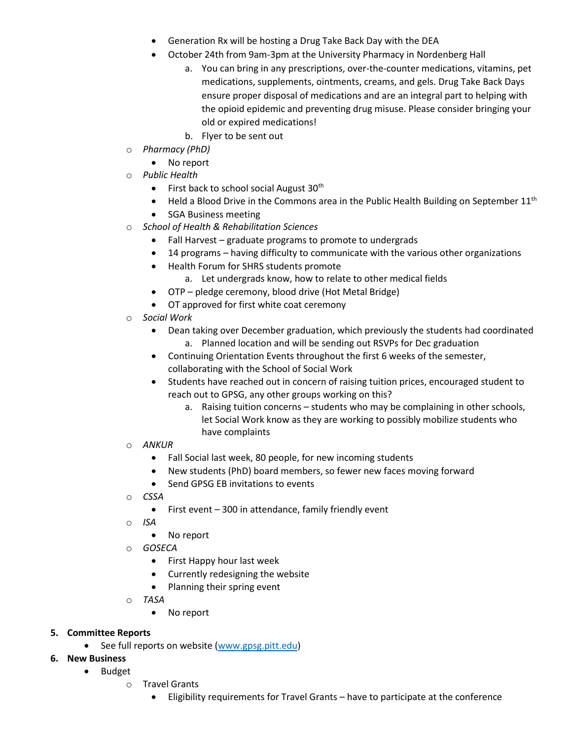- Generation Rx will be hosting a Drug Take Back Day with the DEA
- October 24th from 9am-3pm at the University Pharmacy in Nordenberg Hall
	- a. You can bring in any prescriptions, over-the-counter medications, vitamins, pet medications, supplements, ointments, creams, and gels. Drug Take Back Days ensure proper disposal of medications and are an integral part to helping with the opioid epidemic and preventing drug misuse. Please consider bringing your old or expired medications!
	- b. Flyer to be sent out
- o *Pharmacy (PhD)*
	- No report
- o *Public Health*
	- $\bullet$  First back to school social August 30<sup>th</sup>
	- Held a Blood Drive in the Commons area in the Public Health Building on September  $11<sup>th</sup>$
	- SGA Business meeting
- o *School of Health & Rehabilitation Sciences*
	- Fall Harvest graduate programs to promote to undergrads
	- 14 programs having difficulty to communicate with the various other organizations
	- Health Forum for SHRS students promote
		- a. Let undergrads know, how to relate to other medical fields
	- OTP pledge ceremony, blood drive (Hot Metal Bridge)
	- OT approved for first white coat ceremony
- **Social Work** 
	- Dean taking over December graduation, which previously the students had coordinated a. Planned location and will be sending out RSVPs for Dec graduation
	- Continuing Orientation Events throughout the first 6 weeks of the semester, collaborating with the School of Social Work
	- Students have reached out in concern of raising tuition prices, encouraged student to reach out to GPSG, any other groups working on this?
		- a. Raising tuition concerns students who may be complaining in other schools, let Social Work know as they are working to possibly mobilize students who have complaints
- o *ANKUR* 
	- Fall Social last week, 80 people, for new incoming students
	- New students (PhD) board members, so fewer new faces moving forward
	- Send GPSG EB invitations to events
- o *CSSA* 
	- First event 300 in attendance, family friendly event
- o *ISA* 
	- No report
- o *GOSECA*
	- First Happy hour last week
	- Currently redesigning the website
	- Planning their spring event
- o *TASA*
	- No report
- **5. Committee Reports**
	- See full reports on website [\(www.gpsg.pitt.edu\)](http://www.gpsg.pitt.edu/)
- **6. New Business**
	- Budget
		- o Travel Grants
			- Eligibility requirements for Travel Grants have to participate at the conference